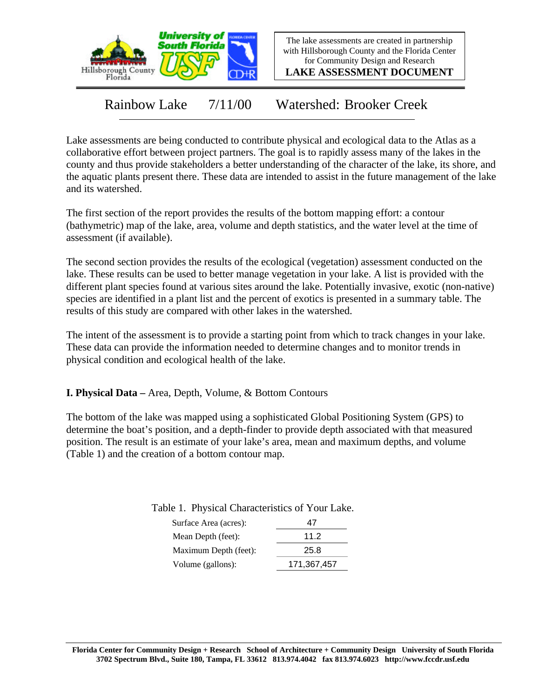

The lake assessments are created in partnership with Hillsborough County and the Florida Center for Community Design and Research

**LAKE ASSESSMENT DOCUMENT**

Rainbow Lake 7/11/00 Watershed: Brooker Creek

Lake assessments are being conducted to contribute physical and ecological data to the Atlas as a collaborative effort between project partners. The goal is to rapidly assess many of the lakes in the county and thus provide stakeholders a better understanding of the character of the lake, its shore, and the aquatic plants present there. These data are intended to assist in the future management of the lake and its watershed.

The first section of the report provides the results of the bottom mapping effort: a contour (bathymetric) map of the lake, area, volume and depth statistics, and the water level at the time of assessment (if available).

The second section provides the results of the ecological (vegetation) assessment conducted on the lake. These results can be used to better manage vegetation in your lake. A list is provided with the different plant species found at various sites around the lake. Potentially invasive, exotic (non-native) species are identified in a plant list and the percent of exotics is presented in a summary table. The results of this study are compared with other lakes in the watershed.

The intent of the assessment is to provide a starting point from which to track changes in your lake. These data can provide the information needed to determine changes and to monitor trends in physical condition and ecological health of the lake.

**I. Physical Data –** Area, Depth, Volume, & Bottom Contours

The bottom of the lake was mapped using a sophisticated Global Positioning System (GPS) to determine the boat's position, and a depth-finder to provide depth associated with that measured position. The result is an estimate of your lake's area, mean and maximum depths, and volume (Table 1) and the creation of a bottom contour map.

Table 1. Physical Characteristics of Your Lake.

| Surface Area (acres): |             |
|-----------------------|-------------|
| Mean Depth (feet):    | 11.2        |
| Maximum Depth (feet): | 25.8        |
| Volume (gallons):     | 171,367,457 |
|                       |             |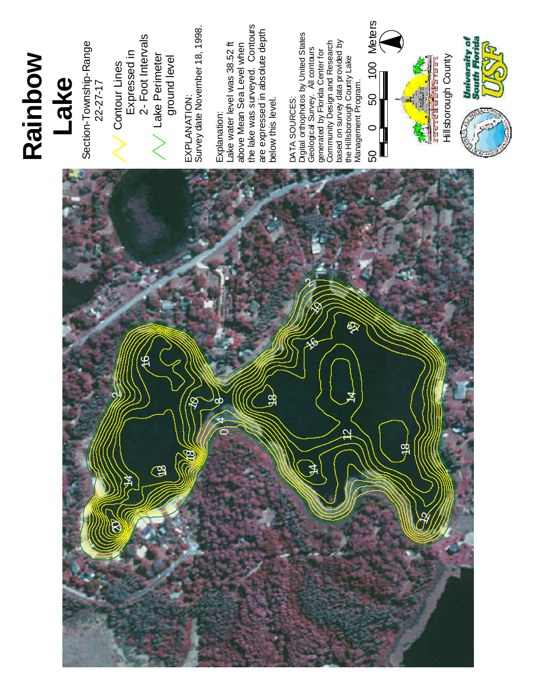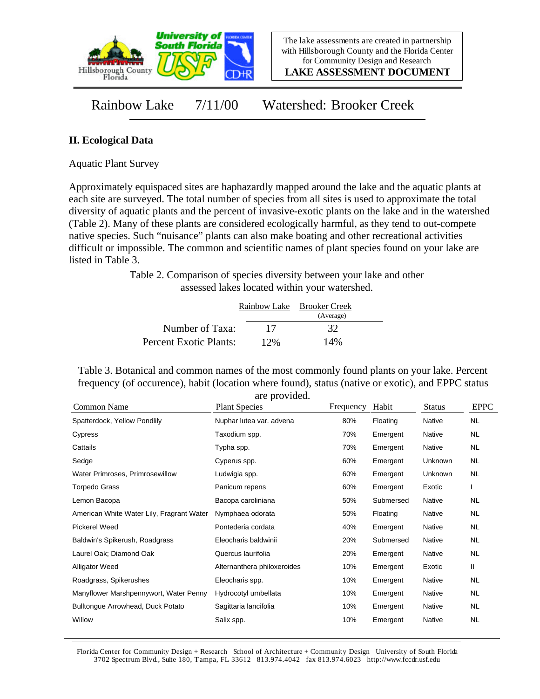

**LAKE ASSESSMENT DOCUMENT**

Rainbow Lake 7/11/00 Watershed: Brooker Creek

## **II. Ecological Data**

Aquatic Plant Survey

Approximately equispaced sites are haphazardly mapped around the lake and the aquatic plants at each site are surveyed. The total number of species from all sites is used to approximate the total diversity of aquatic plants and the percent of invasive-exotic plants on the lake and in the watershed (Table 2). Many of these plants are considered ecologically harmful, as they tend to out-compete native species. Such "nuisance" plants can also make boating and other recreational activities difficult or impossible. The common and scientific names of plant species found on your lake are listed in Table 3.

> Table 2. Comparison of species diversity between your lake and other assessed lakes located within your watershed.

|                        |     | Rainbow Lake Brooker Creek |  |
|------------------------|-----|----------------------------|--|
|                        |     | (Average)                  |  |
| Number of Taxa:        | 17  | 32                         |  |
| Percent Exotic Plants: | 12% | 14%                        |  |

Table 3. Botanical and common names of the most commonly found plants on your lake. Percent frequency (of occurence), habit (location where found), status (native or exotic), and EPPC status are provided.

| Common Name                               | <b>Plant Species</b>        | Frequency | Habit     | <b>Status</b> | <b>EPPC</b> |
|-------------------------------------------|-----------------------------|-----------|-----------|---------------|-------------|
| Spatterdock, Yellow Pondlily              | Nuphar lutea var. advena    | 80%       | Floating  | Native        | <b>NL</b>   |
| Cypress                                   | Taxodium spp.               | 70%       | Emergent  | Native        | NL.         |
| Cattails                                  | Typha spp.                  | 70%       | Emergent  | Native        | NL.         |
| Sedge                                     | Cyperus spp.                | 60%       | Emergent  | Unknown       | NL.         |
| Water Primroses, Primrosewillow           | Ludwigia spp.               | 60%       | Emergent  | Unknown       | NL.         |
| Torpedo Grass                             | Panicum repens              | 60%       | Emergent  | Exotic        |             |
| Lemon Bacopa                              | Bacopa caroliniana          | 50%       | Submersed | Native        | <b>NL</b>   |
| American White Water Lily, Fragrant Water | Nymphaea odorata            | 50%       | Floating  | Native        | NL.         |
| <b>Pickerel Weed</b>                      | Pontederia cordata          | 40%       | Emergent  | Native        | NL.         |
| Baldwin's Spikerush, Roadgrass            | Eleocharis baldwinii        | 20%       | Submersed | Native        | NL.         |
| Laurel Oak; Diamond Oak                   | Quercus laurifolia          | 20%       | Emergent  | Native        | NL          |
| <b>Alligator Weed</b>                     | Alternanthera philoxeroides | 10%       | Emergent  | Exotic        | Ш           |
| Roadgrass, Spikerushes                    | Eleocharis spp.             | 10%       | Emergent  | Native        | NL          |
| Manyflower Marshpennywort, Water Penny    | Hydrocotyl umbellata        | 10%       | Emergent  | Native        | NL.         |
| Bulltongue Arrowhead, Duck Potato         | Sagittaria lancifolia       | 10%       | Emergent  | Native        | NL.         |
| Willow                                    | Salix spp.                  | 10%       | Emergent  | Native        | <b>NL</b>   |

Florida Center for Community Design + Research School of Architecture + Community Design University of South Florida 3702 Spectrum Blvd., Suite 180, Tampa, FL 33612 813.974.4042 fax 813.974.6023 http://www.fccdr.usf.edu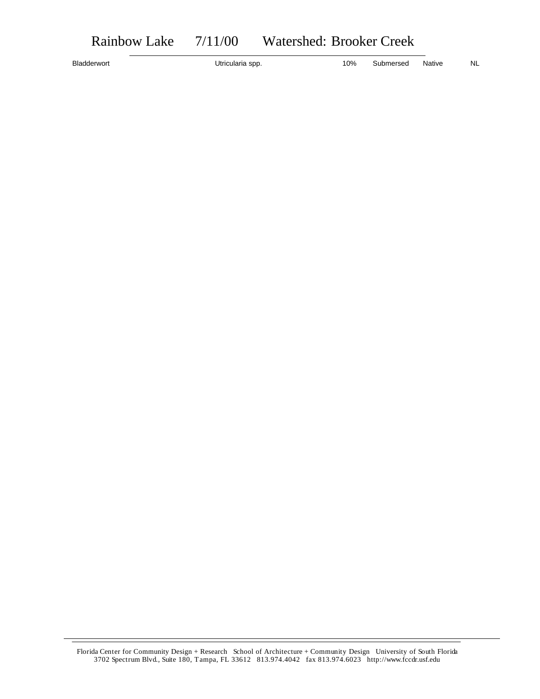Bladderwort **Example 20 Submersed** Native NL Utricularia spp. 10% Submersed Native NL